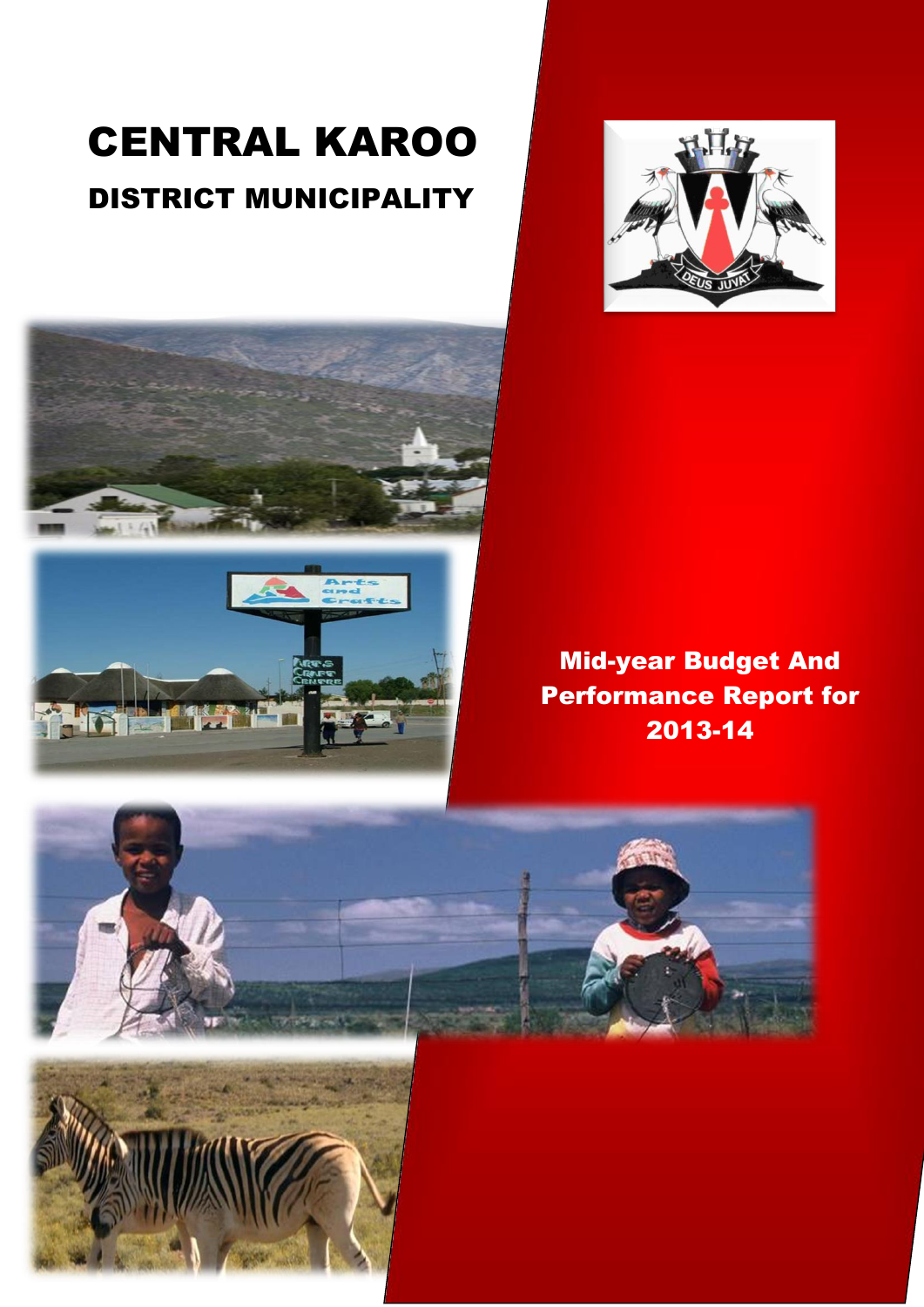# CENTRAL KAROO DISTRICT MUNICIPALITY





Mid-year Budget And Performance Report for 2013-14

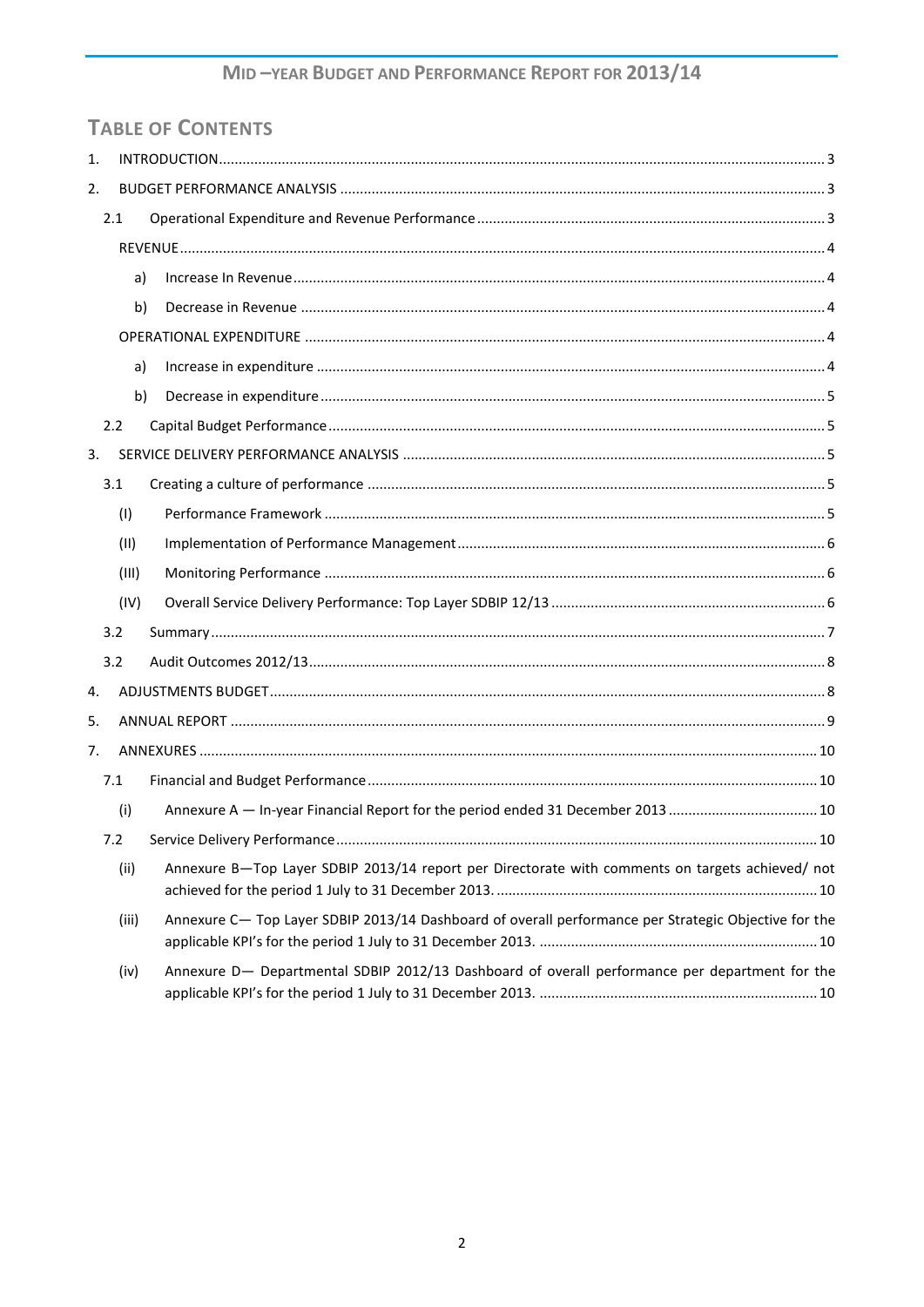# **TABLE OF CONTENTS**

| 1. |     |       |  |                                                                                                      |    |
|----|-----|-------|--|------------------------------------------------------------------------------------------------------|----|
| 2. |     |       |  |                                                                                                      |    |
|    | 2.1 |       |  |                                                                                                      |    |
|    |     |       |  |                                                                                                      |    |
|    |     | a)    |  |                                                                                                      |    |
|    |     | b)    |  |                                                                                                      |    |
|    |     |       |  |                                                                                                      |    |
|    |     | a)    |  |                                                                                                      |    |
|    |     | b)    |  |                                                                                                      |    |
|    | 2.2 |       |  |                                                                                                      |    |
| 3. |     |       |  |                                                                                                      |    |
|    | 3.1 |       |  |                                                                                                      |    |
|    |     | (1)   |  |                                                                                                      |    |
|    |     | (11)  |  |                                                                                                      |    |
|    |     | (III) |  |                                                                                                      |    |
|    |     | (IV)  |  |                                                                                                      |    |
|    | 3.2 |       |  |                                                                                                      |    |
|    | 3.2 |       |  |                                                                                                      |    |
| 4. |     |       |  |                                                                                                      |    |
| 5. |     |       |  |                                                                                                      |    |
| 7. |     |       |  |                                                                                                      |    |
|    | 7.1 |       |  |                                                                                                      |    |
|    |     | (i)   |  | Annexure A - In-year Financial Report for the period ended 31 December 2013  10                      |    |
|    | 7.2 |       |  |                                                                                                      | 10 |
|    |     | (ii)  |  | Annexure B-Top Layer SDBIP 2013/14 report per Directorate with comments on targets achieved/ not     |    |
|    |     | (iii) |  | Annexure C- Top Layer SDBIP 2013/14 Dashboard of overall performance per Strategic Objective for the |    |
|    |     | (iv)  |  | Annexure D- Departmental SDBIP 2012/13 Dashboard of overall performance per department for the       |    |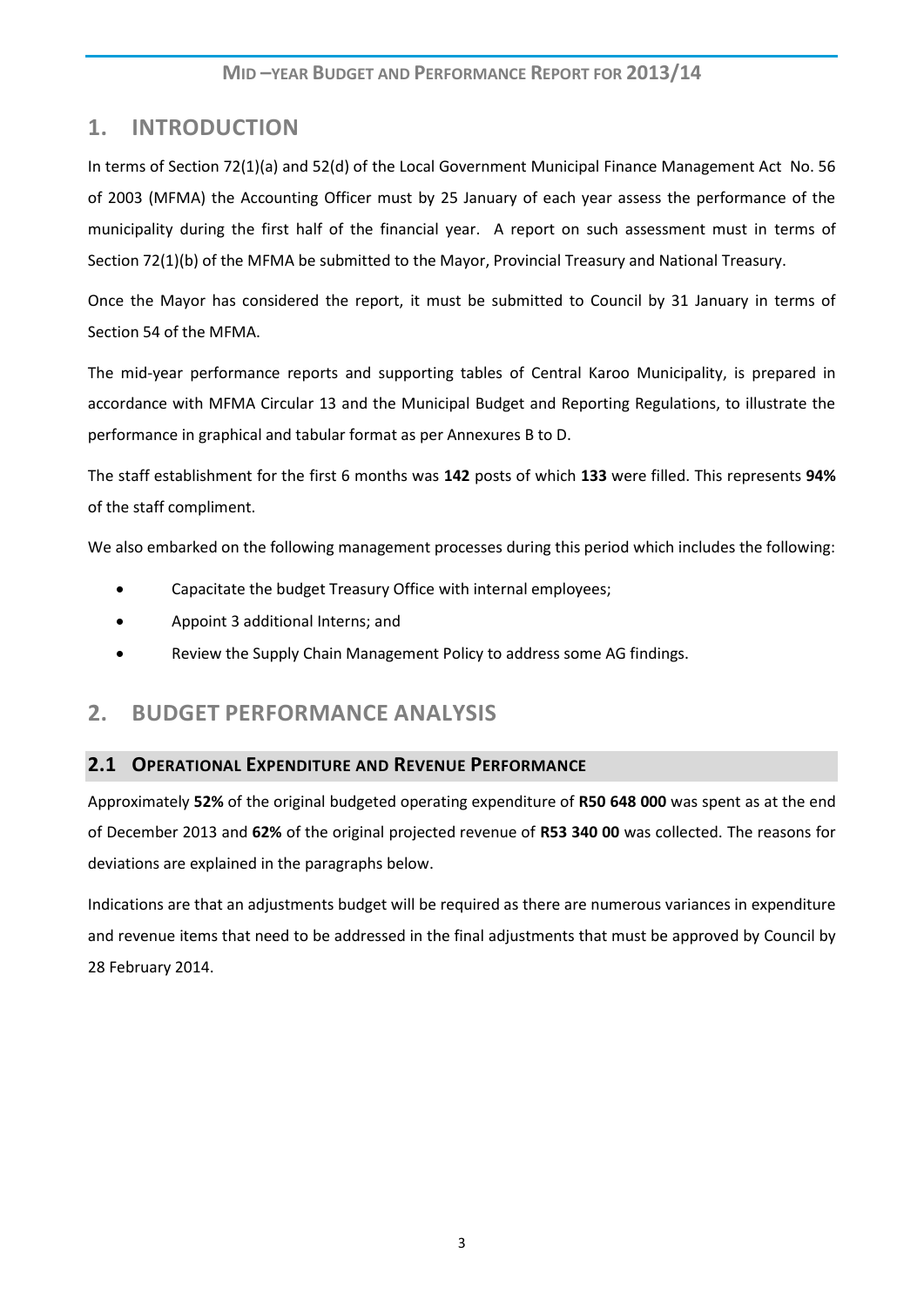# <span id="page-2-0"></span>**1. INTRODUCTION**

In terms of Section 72(1)(a) and 52(d) of the Local Government Municipal Finance Management Act No. 56 of 2003 (MFMA) the Accounting Officer must by 25 January of each year assess the performance of the municipality during the first half of the financial year. A report on such assessment must in terms of Section 72(1)(b) of the MFMA be submitted to the Mayor, Provincial Treasury and National Treasury.

Once the Mayor has considered the report, it must be submitted to Council by 31 January in terms of Section 54 of the MFMA.

The mid-year performance reports and supporting tables of Central Karoo Municipality, is prepared in accordance with MFMA Circular 13 and the Municipal Budget and Reporting Regulations, to illustrate the performance in graphical and tabular format as per Annexures B to D.

The staff establishment for the first 6 months was **142** posts of which **133** were filled. This represents **94%** of the staff compliment.

We also embarked on the following management processes during this period which includes the following:

- Capacitate the budget Treasury Office with internal employees;
- Appoint 3 additional Interns; and
- Review the Supply Chain Management Policy to address some AG findings.

# <span id="page-2-1"></span>**2. BUDGET PERFORMANCE ANALYSIS**

### <span id="page-2-2"></span>**2.1 OPERATIONAL EXPENDITURE AND REVENUE PERFORMANCE**

Approximately **52%** of the original budgeted operating expenditure of **R50 648 000** was spent as at the end of December 2013 and **62%** of the original projected revenue of **R53 340 00** was collected. The reasons for deviations are explained in the paragraphs below.

Indications are that an adjustments budget will be required as there are numerous variances in expenditure and revenue items that need to be addressed in the final adjustments that must be approved by Council by 28 February 2014.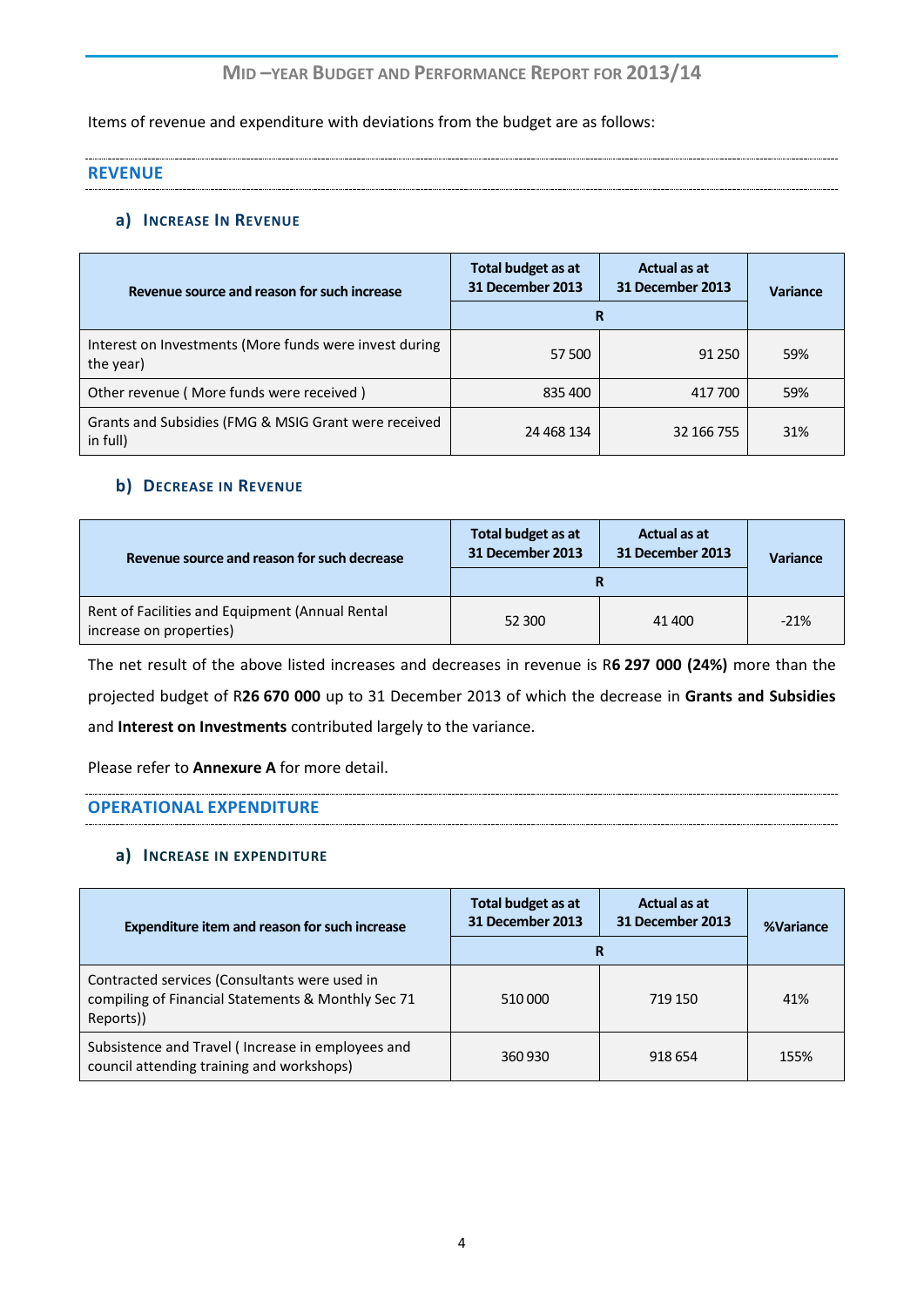Items of revenue and expenditure with deviations from the budget are as follows:

<span id="page-3-0"></span>

| <b>REVENUE</b> |
|----------------|
|                |

#### <span id="page-3-1"></span>**a) INCREASE IN REVENUE**

| Revenue source and reason for such increase                         | Total budget as at<br>31 December 2013 | Actual as at<br>31 December 2013 | <b>Variance</b> |  |
|---------------------------------------------------------------------|----------------------------------------|----------------------------------|-----------------|--|
|                                                                     | R                                      |                                  |                 |  |
| Interest on Investments (More funds were invest during<br>the year) | 57 500                                 | 91 250                           | 59%             |  |
| Other revenue (More funds were received)                            | 835 400                                | 417 700                          | 59%             |  |
| Grants and Subsidies (FMG & MSIG Grant were received<br>in full)    | 24 468 134                             | 32 166 755                       | 31%             |  |

#### <span id="page-3-2"></span>**b) DECREASE IN REVENUE**

| Revenue source and reason for such decrease                                | Total budget as at<br>31 December 2013 | Actual as at<br>31 December 2013 | <b>Variance</b> |  |
|----------------------------------------------------------------------------|----------------------------------------|----------------------------------|-----------------|--|
|                                                                            |                                        |                                  |                 |  |
| Rent of Facilities and Equipment (Annual Rental<br>increase on properties) | 52 300                                 | 41 400                           | $-21%$          |  |

The net result of the above listed increases and decreases in revenue is R**6 297 000 (24%)** more than the projected budget of R**26 670 000** up to 31 December 2013 of which the decrease in **Grants and Subsidies**  and **Interest on Investments** contributed largely to the variance.

Please refer to **Annexure A** for more detail.

#### <span id="page-3-3"></span>**OPERATIONAL EXPENDITURE**

#### <span id="page-3-4"></span>**a) INCREASE IN EXPENDITURE**

<span id="page-3-5"></span>

| Expenditure item and reason for such increase                                                                    | <b>Total budget as at</b><br><b>31 December 2013</b> | Actual as at<br>31 December 2013 | %Variance |  |
|------------------------------------------------------------------------------------------------------------------|------------------------------------------------------|----------------------------------|-----------|--|
|                                                                                                                  | R                                                    |                                  |           |  |
| Contracted services (Consultants were used in<br>compiling of Financial Statements & Monthly Sec 71<br>Reports)) | 510 000                                              | 719 150                          | 41%       |  |
| Subsistence and Travel (Increase in employees and<br>council attending training and workshops)                   | 360 930                                              | 918 654                          | 155%      |  |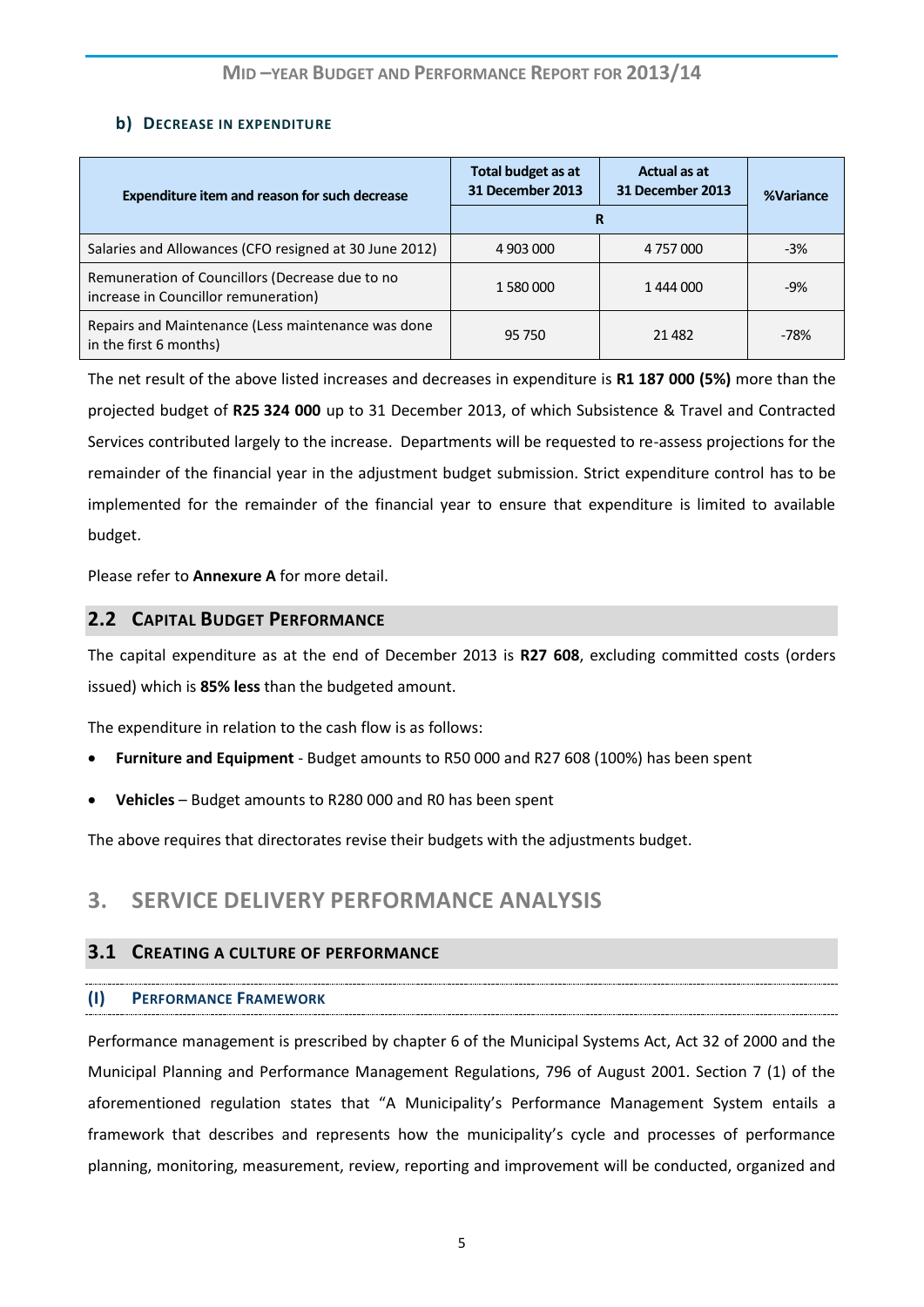## **b)** DECREASE IN EXPENDITURE

| <b>Expenditure item and reason for such decrease</b>                                    | Total budget as at<br>Actual as at<br>31 December 2013<br>31 December 2013<br>R |           | %Variance |
|-----------------------------------------------------------------------------------------|---------------------------------------------------------------------------------|-----------|-----------|
| Salaries and Allowances (CFO resigned at 30 June 2012)                                  | 4 903 000                                                                       | 4 757 000 | $-3%$     |
| Remuneration of Councillors (Decrease due to no<br>increase in Councillor remuneration) | 1 580 000                                                                       | 1444000   | $-9%$     |
| Repairs and Maintenance (Less maintenance was done<br>in the first 6 months)            | 95 750                                                                          | 21 4 82   | $-78%$    |

The net result of the above listed increases and decreases in expenditure is **R1 187 000 (5%)** more than the projected budget of **R25 324 000** up to 31 December 2013, of which Subsistence & Travel and Contracted Services contributed largely to the increase. Departments will be requested to re-assess projections for the remainder of the financial year in the adjustment budget submission. Strict expenditure control has to be implemented for the remainder of the financial year to ensure that expenditure is limited to available budget.

Please refer to **Annexure A** for more detail.

## <span id="page-4-0"></span>**2.2 CAPITAL BUDGET PERFORMANCE**

The capital expenditure as at the end of December 2013 is **R27 608**, excluding committed costs (orders issued) which is **85% less** than the budgeted amount.

The expenditure in relation to the cash flow is as follows:

- **Furniture and Equipment**  Budget amounts to R50 000 and R27 608 (100%) has been spent
- **Vehicles**  Budget amounts to R280 000 and R0 has been spent

The above requires that directorates revise their budgets with the adjustments budget.

# <span id="page-4-1"></span>**3. SERVICE DELIVERY PERFORMANCE ANALYSIS**

### <span id="page-4-2"></span>**3.1 CREATING A CULTURE OF PERFORMANCE**

## <span id="page-4-3"></span>**(I) PERFORMANCE FRAMEWORK**

Performance management is prescribed by chapter 6 of the Municipal Systems Act, Act 32 of 2000 and the Municipal Planning and Performance Management Regulations, 796 of August 2001. Section 7 (1) of the aforementioned regulation states that "A Municipality's Performance Management System entails a framework that describes and represents how the municipality's cycle and processes of performance planning, monitoring, measurement, review, reporting and improvement will be conducted, organized and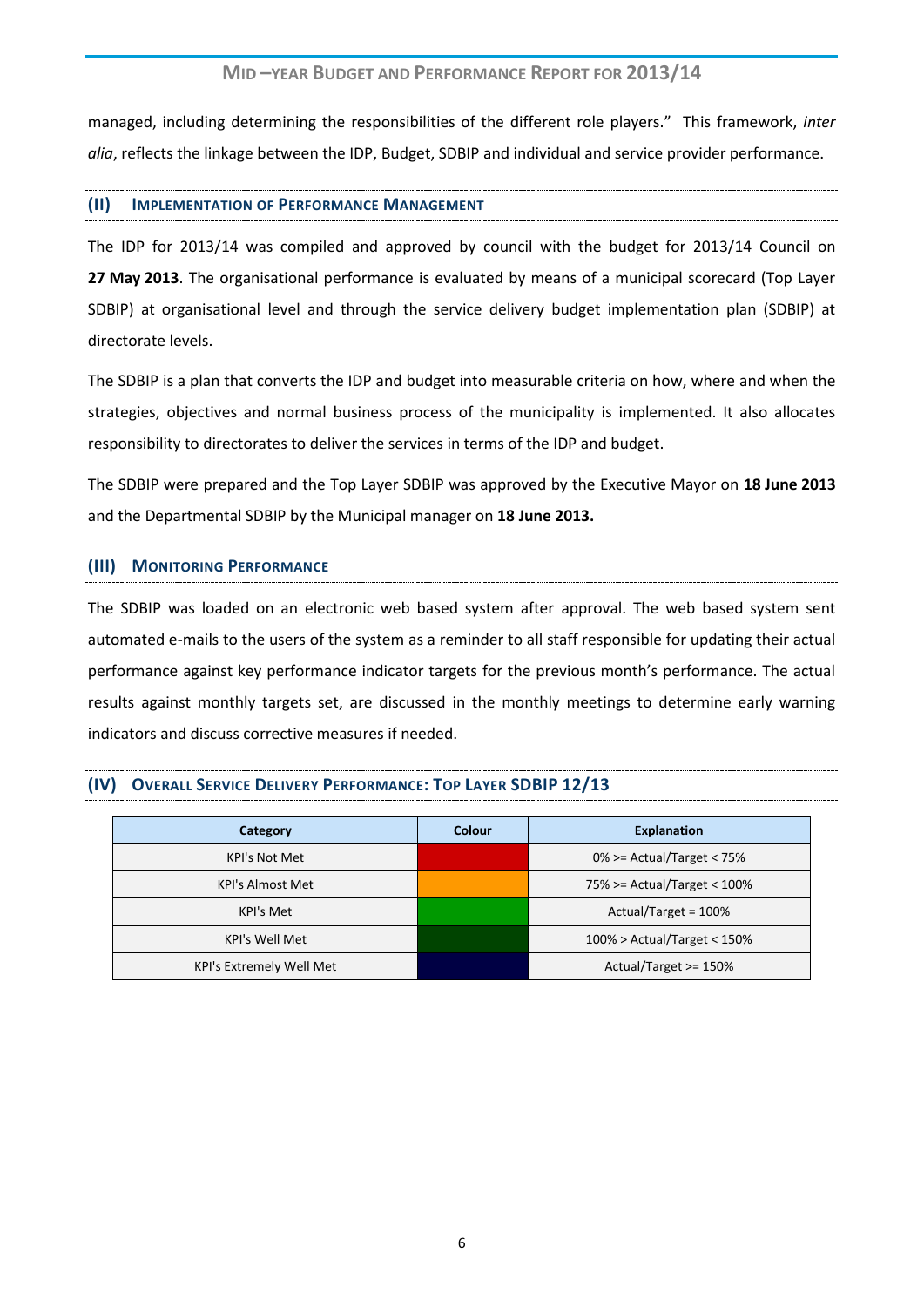managed, including determining the responsibilities of the different role players." This framework, *inter alia*, reflects the linkage between the IDP, Budget, SDBIP and individual and service provider performance.

#### <span id="page-5-0"></span>**(II) IMPLEMENTATION OF PERFORMANCE MANAGEMENT**

The IDP for 2013/14 was compiled and approved by council with the budget for 2013/14 Council on **27 May 2013**. The organisational performance is evaluated by means of a municipal scorecard (Top Layer SDBIP) at organisational level and through the service delivery budget implementation plan (SDBIP) at directorate levels.

The SDBIP is a plan that converts the IDP and budget into measurable criteria on how, where and when the strategies, objectives and normal business process of the municipality is implemented. It also allocates responsibility to directorates to deliver the services in terms of the IDP and budget.

The SDBIP were prepared and the Top Layer SDBIP was approved by the Executive Mayor on **18 June 2013** and the Departmental SDBIP by the Municipal manager on **18 June 2013.**

#### <span id="page-5-1"></span>**(III) MONITORING PERFORMANCE**

The SDBIP was loaded on an electronic web based system after approval. The web based system sent automated e-mails to the users of the system as a reminder to all staff responsible for updating their actual performance against key performance indicator targets for the previous month's performance. The actual results against monthly targets set, are discussed in the monthly meetings to determine early warning indicators and discuss corrective measures if needed.

#### <span id="page-5-2"></span>**(IV) OVERALL SERVICE DELIVERY PERFORMANCE: TOP LAYER SDBIP 12/13**

| Category                 | <b>Colour</b> | <b>Explanation</b>             |
|--------------------------|---------------|--------------------------------|
| <b>KPI's Not Met</b>     |               | $0\%$ >= Actual/Target < 75%   |
| <b>KPI's Almost Met</b>  |               | 75% >= Actual/Target < 100%    |
| KPI's Met                |               | Actual/Target = 100%           |
| <b>KPI's Well Met</b>    |               | $100\%$ > Actual/Target < 150% |
| KPI's Extremely Well Met |               | Actual/Target >= 150%          |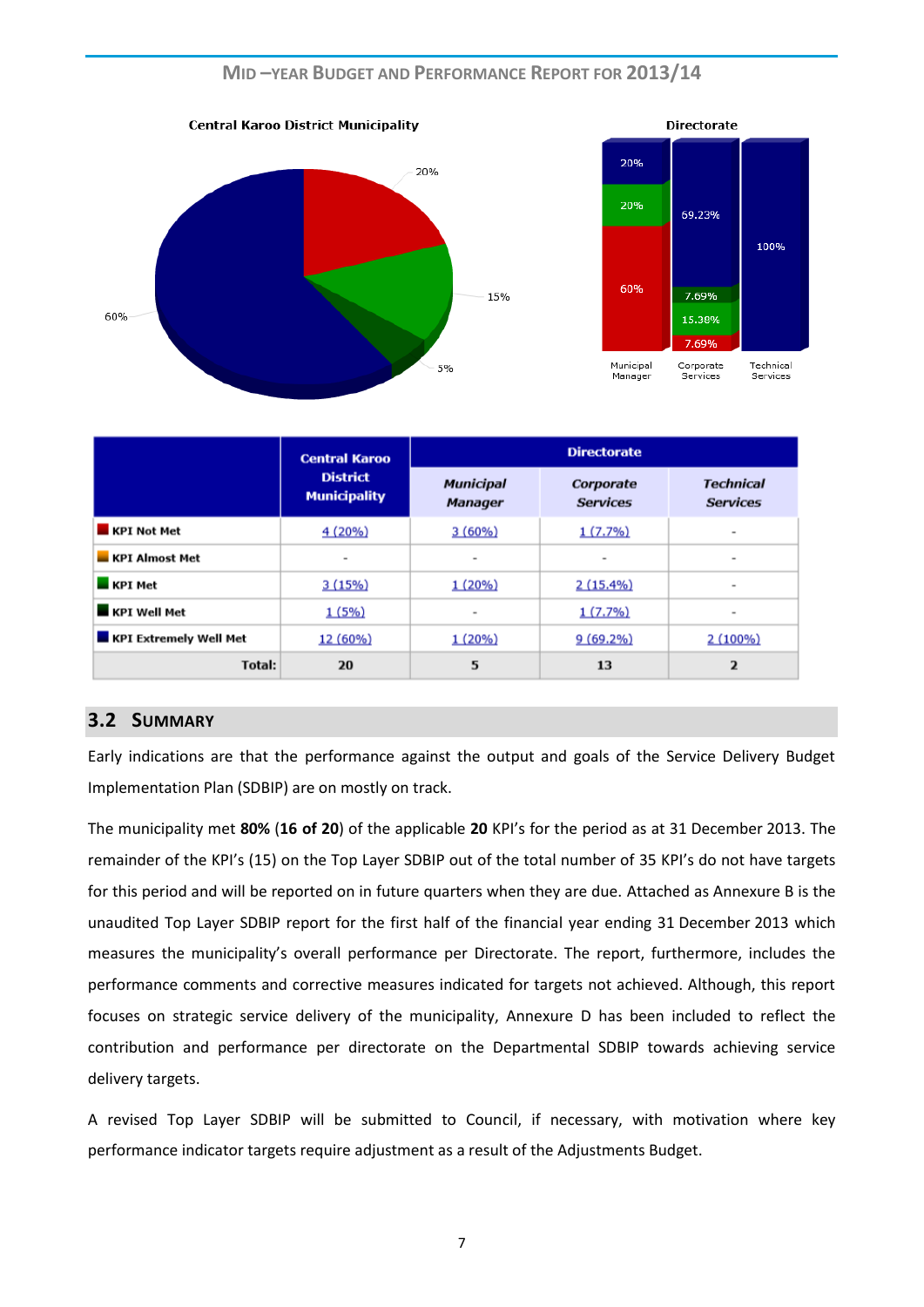

|                               | <b>Central Karoo</b><br><b>District</b><br><b>Municipality</b> | <b>Directorate</b>          |                              |                                     |
|-------------------------------|----------------------------------------------------------------|-----------------------------|------------------------------|-------------------------------------|
|                               |                                                                | Municipal<br><b>Manager</b> | Corporate<br><b>Services</b> | <b>Technical</b><br><b>Services</b> |
| <b>KPI Not Met</b>            | 4(20%)                                                         | 3(60%)                      | $1(7.7\%)$                   | $\sim$                              |
| <b>KPI Almost Met</b>         | ۰                                                              | ۰                           | ۰                            | ٠                                   |
| <b>KPI Met</b>                | 3(15%)                                                         | $1(20\%)$                   | $2(15.4\%)$                  | $\;$                                |
| <b>KPI Well Met</b>           | 1(5%)                                                          | ۰                           | 1(7.7%)                      | ۰                                   |
| <b>KPI Extremely Well Met</b> | 12 (60%)                                                       | 1(20%)                      | $9(69.2\%)$                  | $2(100\%)$                          |
| Total:                        | 20                                                             | 5                           | 13                           | $\overline{2}$                      |

#### <span id="page-6-0"></span>**3.2 SUMMARY**

Early indications are that the performance against the output and goals of the Service Delivery Budget Implementation Plan (SDBIP) are on mostly on track.

The municipality met **80%** (**16 of 20**) of the applicable **20** KPI's for the period as at 31 December 2013. The remainder of the KPI's (15) on the Top Layer SDBIP out of the total number of 35 KPI's do not have targets for this period and will be reported on in future quarters when they are due. Attached as Annexure B is the unaudited Top Layer SDBIP report for the first half of the financial year ending 31 December 2013 which measures the municipality's overall performance per Directorate. The report, furthermore, includes the performance comments and corrective measures indicated for targets not achieved. Although, this report focuses on strategic service delivery of the municipality, Annexure D has been included to reflect the contribution and performance per directorate on the Departmental SDBIP towards achieving service delivery targets.

A revised Top Layer SDBIP will be submitted to Council, if necessary, with motivation where key performance indicator targets require adjustment as a result of the Adjustments Budget.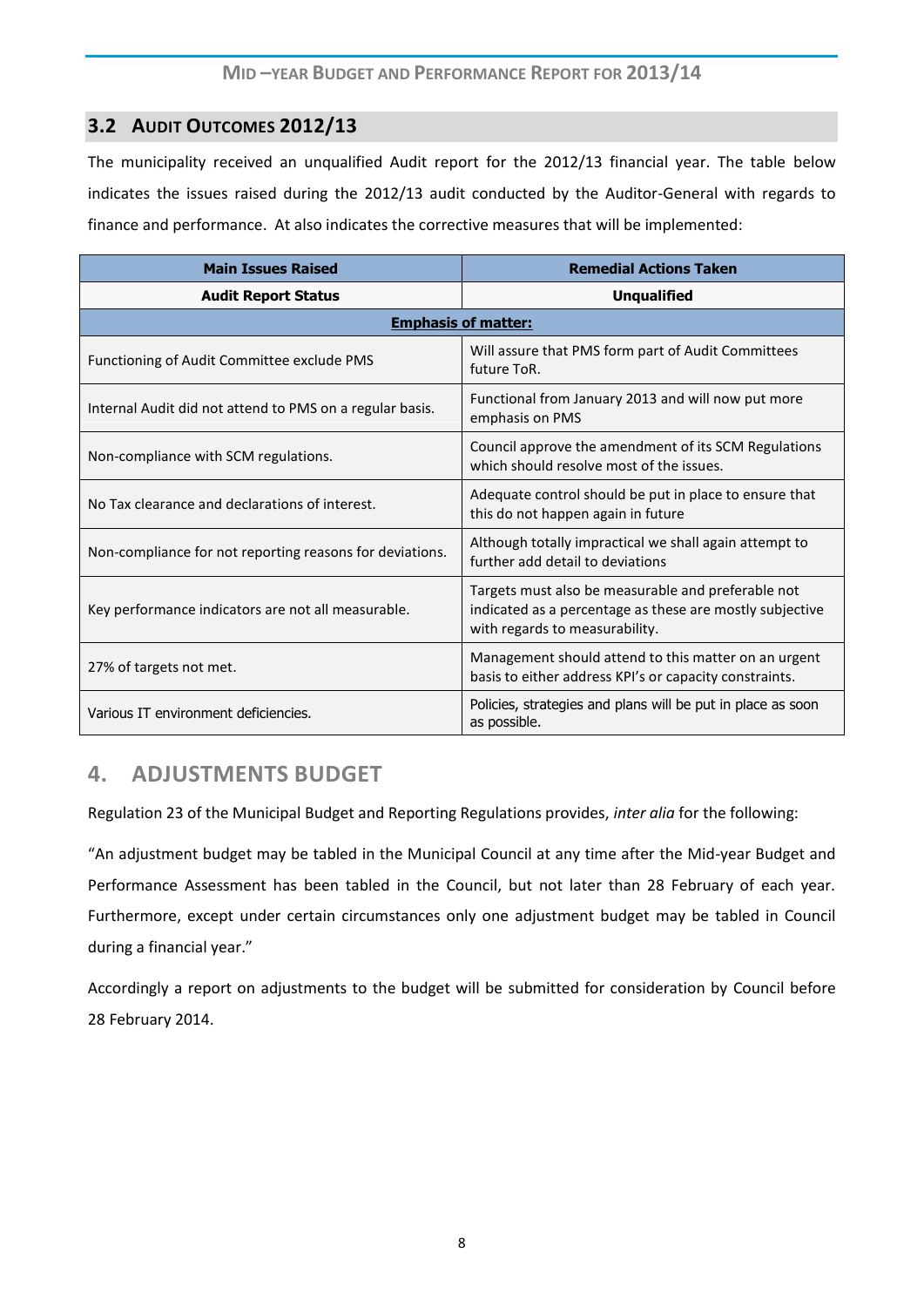## <span id="page-7-0"></span>**3.2 AUDIT OUTCOMES 2012/13**

The municipality received an unqualified Audit report for the 2012/13 financial year. The table below indicates the issues raised during the 2012/13 audit conducted by the Auditor-General with regards to finance and performance. At also indicates the corrective measures that will be implemented:

| <b>Main Issues Raised</b>                                | <b>Remedial Actions Taken</b>                                                                                                                    |  |  |  |
|----------------------------------------------------------|--------------------------------------------------------------------------------------------------------------------------------------------------|--|--|--|
| <b>Audit Report Status</b>                               | <b>Unqualified</b>                                                                                                                               |  |  |  |
| <b>Emphasis of matter:</b>                               |                                                                                                                                                  |  |  |  |
| Functioning of Audit Committee exclude PMS               | Will assure that PMS form part of Audit Committees<br>future ToR.                                                                                |  |  |  |
| Internal Audit did not attend to PMS on a regular basis. | Functional from January 2013 and will now put more<br>emphasis on PMS                                                                            |  |  |  |
| Non-compliance with SCM regulations.                     | Council approve the amendment of its SCM Regulations<br>which should resolve most of the issues.                                                 |  |  |  |
| No Tax clearance and declarations of interest.           | Adequate control should be put in place to ensure that<br>this do not happen again in future                                                     |  |  |  |
| Non-compliance for not reporting reasons for deviations. | Although totally impractical we shall again attempt to<br>further add detail to deviations                                                       |  |  |  |
| Key performance indicators are not all measurable.       | Targets must also be measurable and preferable not<br>indicated as a percentage as these are mostly subjective<br>with regards to measurability. |  |  |  |
| 27% of targets not met.                                  | Management should attend to this matter on an urgent<br>basis to either address KPI's or capacity constraints.                                   |  |  |  |
| Various IT environment deficiencies.                     | Policies, strategies and plans will be put in place as soon<br>as possible.                                                                      |  |  |  |

# <span id="page-7-1"></span>**4. ADJUSTMENTS BUDGET**

Regulation 23 of the Municipal Budget and Reporting Regulations provides, *inter alia* for the following:

"An adjustment budget may be tabled in the Municipal Council at any time after the Mid-year Budget and Performance Assessment has been tabled in the Council, but not later than 28 February of each year. Furthermore, except under certain circumstances only one adjustment budget may be tabled in Council during a financial year."

Accordingly a report on adjustments to the budget will be submitted for consideration by Council before 28 February 2014.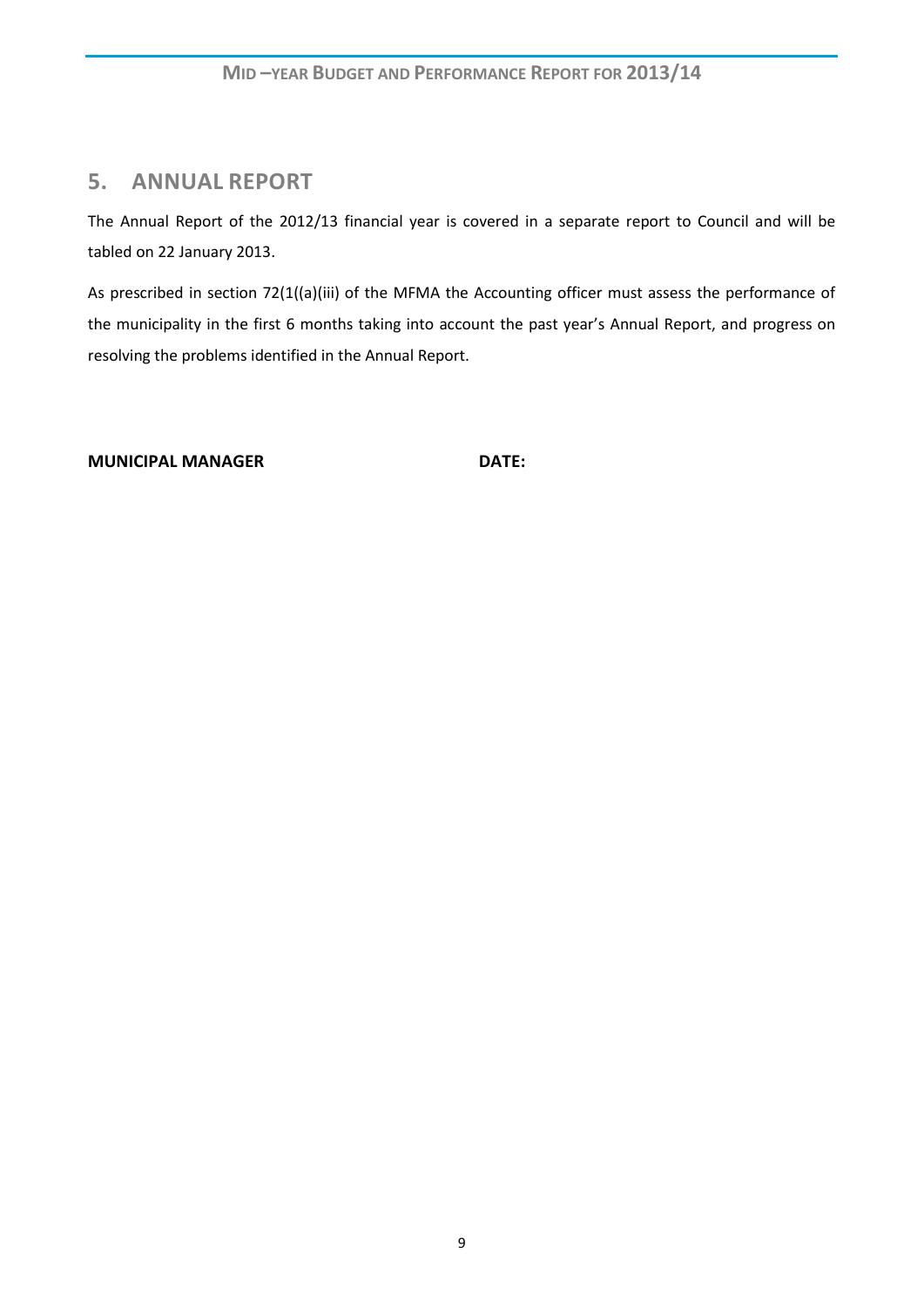# <span id="page-8-0"></span>**5. ANNUAL REPORT**

The Annual Report of the 2012/13 financial year is covered in a separate report to Council and will be tabled on 22 January 2013.

As prescribed in section 72(1((a)(iii) of the MFMA the Accounting officer must assess the performance of the municipality in the first 6 months taking into account the past year's Annual Report, and progress on resolving the problems identified in the Annual Report.

**MUNICIPAL MANAGER DATE:**